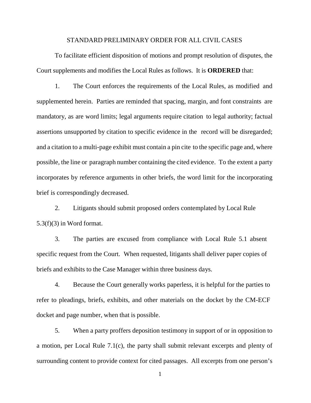## STANDARD PRELIMINARY ORDER FOR ALL CIVIL CASES

To facilitate efficient disposition of motions and prompt resolution of disputes, the Court supplements and modifies the Local Rules as follows. It is **ORDERED** that:

1. The Court enforces the requirements of the Local Rules, as modified and supplemented herein. Parties are reminded that spacing, margin, and font constraints are mandatory, as are word limits; legal arguments require citation to legal authority; factual assertions unsupported by citation to specific evidence in the record will be disregarded; and a citation to a multi-page exhibit must contain a pin cite to the specific page and, where possible, the line or paragraph number containing the cited evidence. To the extent a party incorporates by reference arguments in other briefs, the word limit for the incorporating brief is correspondingly decreased.

2. Litigants should submit proposed orders contemplated by Local Rule  $5.3(f)(3)$  in Word format.

3. The parties are excused from compliance with Local Rule 5.1 absent specific request from the Court. When requested, litigants shall deliver paper copies of briefs and exhibits to the Case Manager within three business days.

4. Because the Court generally works paperless, it is helpful for the parties to refer to pleadings, briefs, exhibits, and other materials on the docket by the CM-ECF docket and page number, when that is possible.

5. When a party proffers deposition testimony in support of or in opposition to a motion, per Local Rule 7.1(c), the party shall submit relevant excerpts and plenty of surrounding content to provide context for cited passages. All excerpts from one person's

1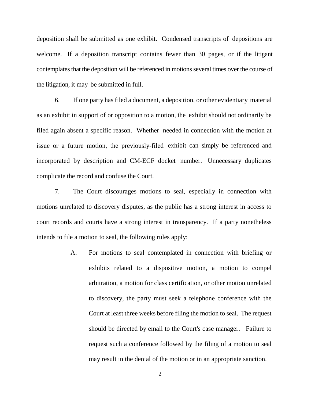deposition shall be submitted as one exhibit. Condensed transcripts of depositions are welcome. If a deposition transcript contains fewer than 30 pages, or if the litigant contemplates that the deposition will be referenced in motions several times over the course of the litigation, it may be submitted in full.

6. If one party has filed a document, a deposition, or other evidentiary material as an exhibit in support of or opposition to a motion, the exhibit should not ordinarily be filed again absent a specific reason. Whether needed in connection with the motion at issue or a future motion, the previously-filed exhibit can simply be referenced and incorporated by description and CM-ECF docket number. Unnecessary duplicates complicate the record and confuse the Court.

7. The Court discourages motions to seal, especially in connection with motions unrelated to discovery disputes, as the public has a strong interest in access to court records and courts have a strong interest in transparency. If a party nonetheless intends to file a motion to seal, the following rules apply:

> A. For motions to seal contemplated in connection with briefing or exhibits related to a dispositive motion, a motion to compel arbitration, a motion for class certification, or other motion unrelated to discovery, the party must seek a telephone conference with the Court at least three weeks before filing the motion to seal. The request should be directed by email to the Court's case manager. Failure to request such a conference followed by the filing of a motion to seal may result in the denial of the motion or in an appropriate sanction.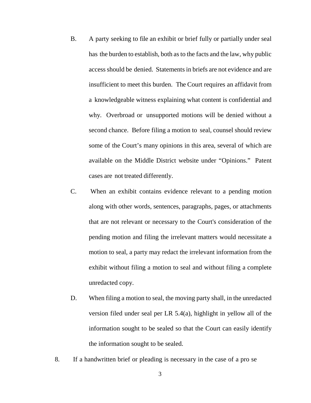- B. A party seeking to file an exhibit or brief fully or partially under seal has the burden to establish, both as to the facts and the law, why public accessshould be denied. Statements in briefs are not evidence and are insufficient to meet this burden. The Court requires an affidavit from a knowledgeable witness explaining what content is confidential and why. Overbroad or unsupported motions will be denied without a second chance. Before filing a motion to seal, counsel should review some of the Court's many opinions in this area, several of which are available on the Middle District website under "Opinions." Patent cases are not treated differently.
- C. When an exhibit contains evidence relevant to a pending motion along with other words, sentences, paragraphs, pages, or attachments that are not relevant or necessary to the Court's consideration of the pending motion and filing the irrelevant matters would necessitate a motion to seal, a party may redact the irrelevant information from the exhibit without filing a motion to seal and without filing a complete unredacted copy.
- D. When filing a motion to seal, the moving party shall, in the unredacted version filed under seal per LR 5.4(a), highlight in yellow all of the information sought to be sealed so that the Court can easily identify the information sought to be sealed.
- 8. If a handwritten brief or pleading is necessary in the case of a pro se